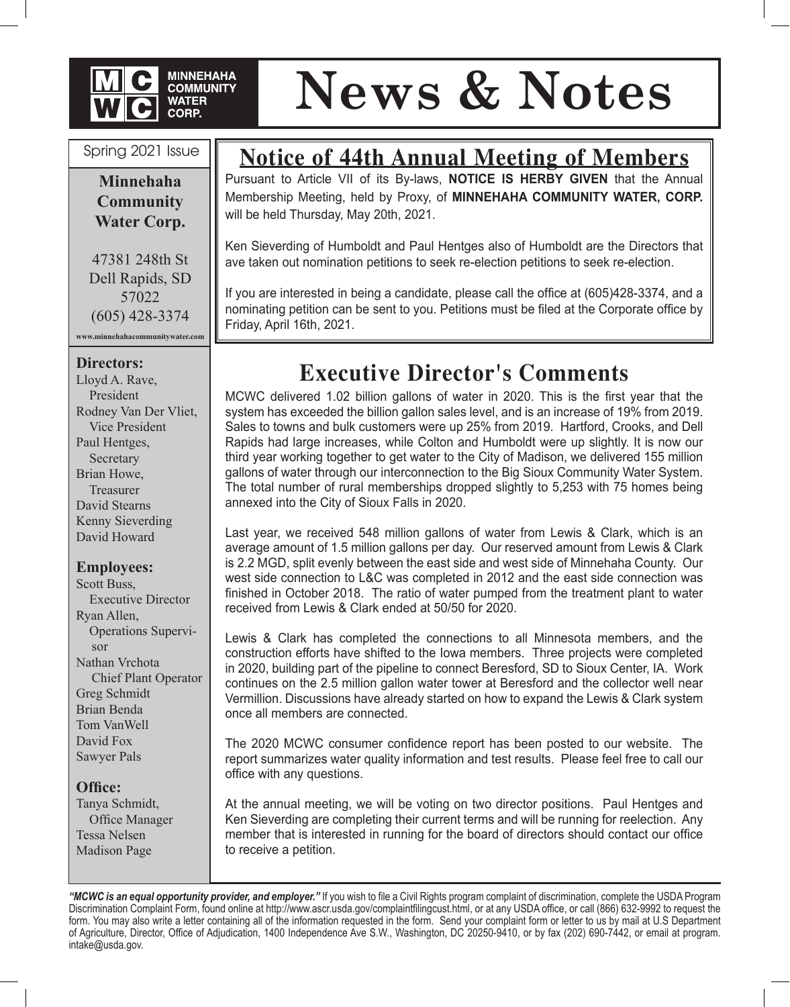

# **News & Notes**

#### Spring 2021 Issue

**Minnehaha Community Water Corp.**

47381 248th St Dell Rapids, SD 57022 (605) 428-3374

**www.minnehahacommunitywater.com**

#### **Directors:**

Lloyd A. Rave, President Rodney Van Der Vliet, Vice President Paul Hentges, Secretary Brian Howe, **Treasurer** David Stearns Kenny Sieverding David Howard

#### **Employees:**

Scott Buss, Executive Director Ryan Allen, Operations Supervisor Nathan Vrchota Chief Plant Operator Greg Schmidt Brian Benda Tom VanWell David Fox Sawyer Pals

#### **Office:**

Tanya Schmidt, Office Manager Tessa Nelsen Madison Page

### **Notice of 44th Annual Meeting of Members**

Pursuant to Article VII of its By-laws, **NOTICE IS HERBY GIVEN** that the Annual Membership Meeting, held by Proxy, of **MINNEHAHA COMMUNITY WATER, CORP.**  will be held Thursday, May 20th, 2021.

Ken Sieverding of Humboldt and Paul Hentges also of Humboldt are the Directors that ave taken out nomination petitions to seek re-election petitions to seek re-election.

If you are interested in being a candidate, please call the office at (605)428-3374, and a nominating petition can be sent to you. Petitions must be filed at the Corporate office by Friday, April 16th, 2021.

## **Executive Director's Comments**

MCWC delivered 1.02 billion gallons of water in 2020. This is the first year that the system has exceeded the billion gallon sales level, and is an increase of 19% from 2019. Sales to towns and bulk customers were up 25% from 2019. Hartford, Crooks, and Dell Rapids had large increases, while Colton and Humboldt were up slightly. It is now our third year working together to get water to the City of Madison, we delivered 155 million gallons of water through our interconnection to the Big Sioux Community Water System. The total number of rural memberships dropped slightly to 5,253 with 75 homes being annexed into the City of Sioux Falls in 2020.

Last year, we received 548 million gallons of water from Lewis & Clark, which is an average amount of 1.5 million gallons per day. Our reserved amount from Lewis & Clark is 2.2 MGD, split evenly between the east side and west side of Minnehaha County. Our west side connection to L&C was completed in 2012 and the east side connection was finished in October 2018. The ratio of water pumped from the treatment plant to water received from Lewis & Clark ended at 50/50 for 2020.

Lewis & Clark has completed the connections to all Minnesota members, and the construction efforts have shifted to the Iowa members. Three projects were completed in 2020, building part of the pipeline to connect Beresford, SD to Sioux Center, IA. Work continues on the 2.5 million gallon water tower at Beresford and the collector well near Vermillion. Discussions have already started on how to expand the Lewis & Clark system once all members are connected.

The 2020 MCWC consumer confidence report has been posted to our website. The report summarizes water quality information and test results. Please feel free to call our office with any questions.

At the annual meeting, we will be voting on two director positions. Paul Hentges and Ken Sieverding are completing their current terms and will be running for reelection. Any member that is interested in running for the board of directors should contact our office to receive a petition.

*"MCWC is an equal opportunity provider, and employer."* If you wish to file a Civil Rights program complaint of discrimination, complete the USDA Program Discrimination Complaint Form, found online at http://www.ascr.usda.gov/complaintfilingcust.html, or at any USDA office, or call (866) 632-9992 to request the form. You may also write a letter containing all of the information requested in the form. Send your complaint form or letter to us by mail at U.S Department of Agriculture, Director, Office of Adjudication, 1400 Independence Ave S.W., Washington, DC 20250-9410, or by fax (202) 690-7442, or email at program. intake@usda.gov.